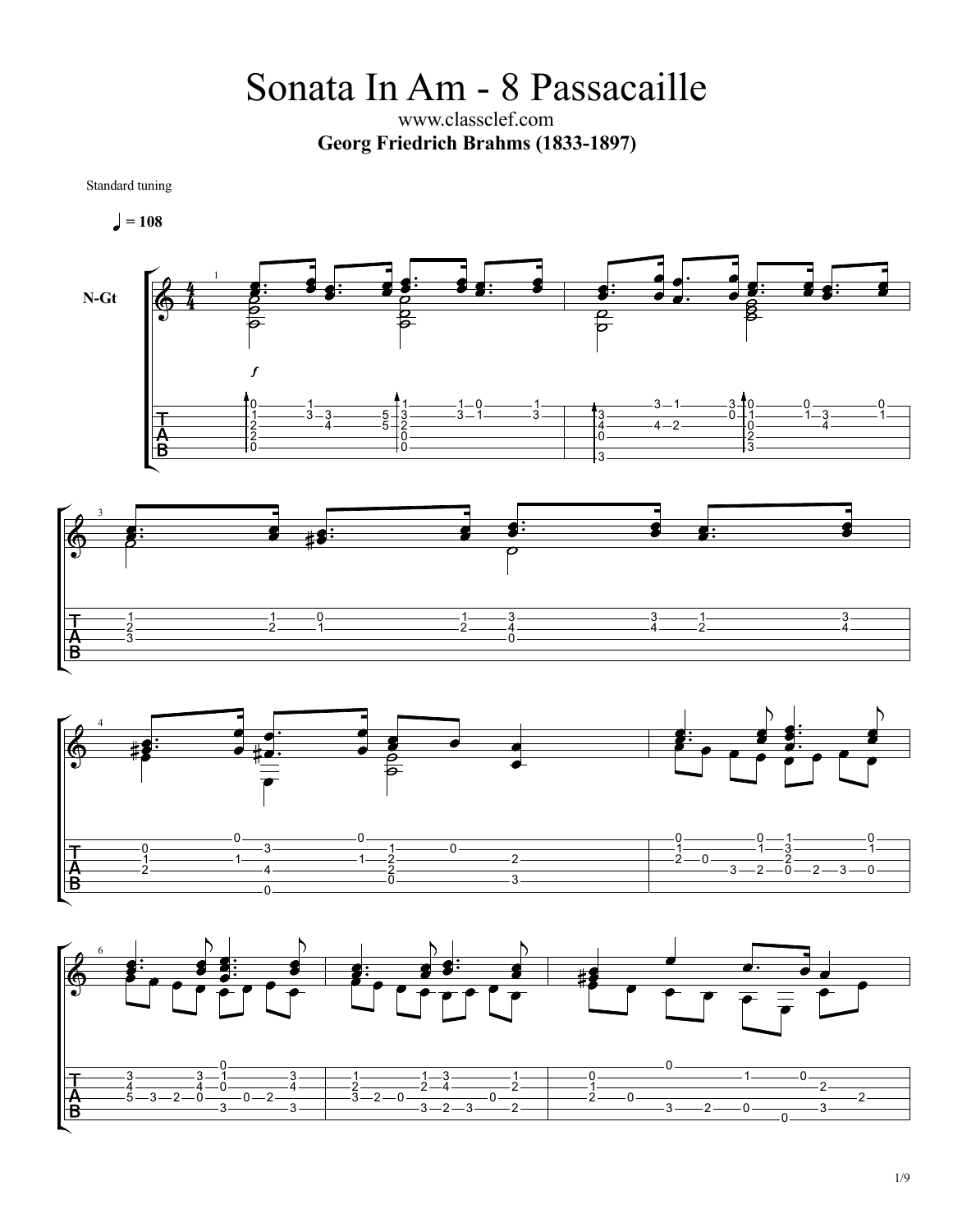Sonata In Am - 8 Passacaille

www.classclef.com **Georg Friedrich Brahms (1833-1897)**

Standard tuning

 $= 108$ 







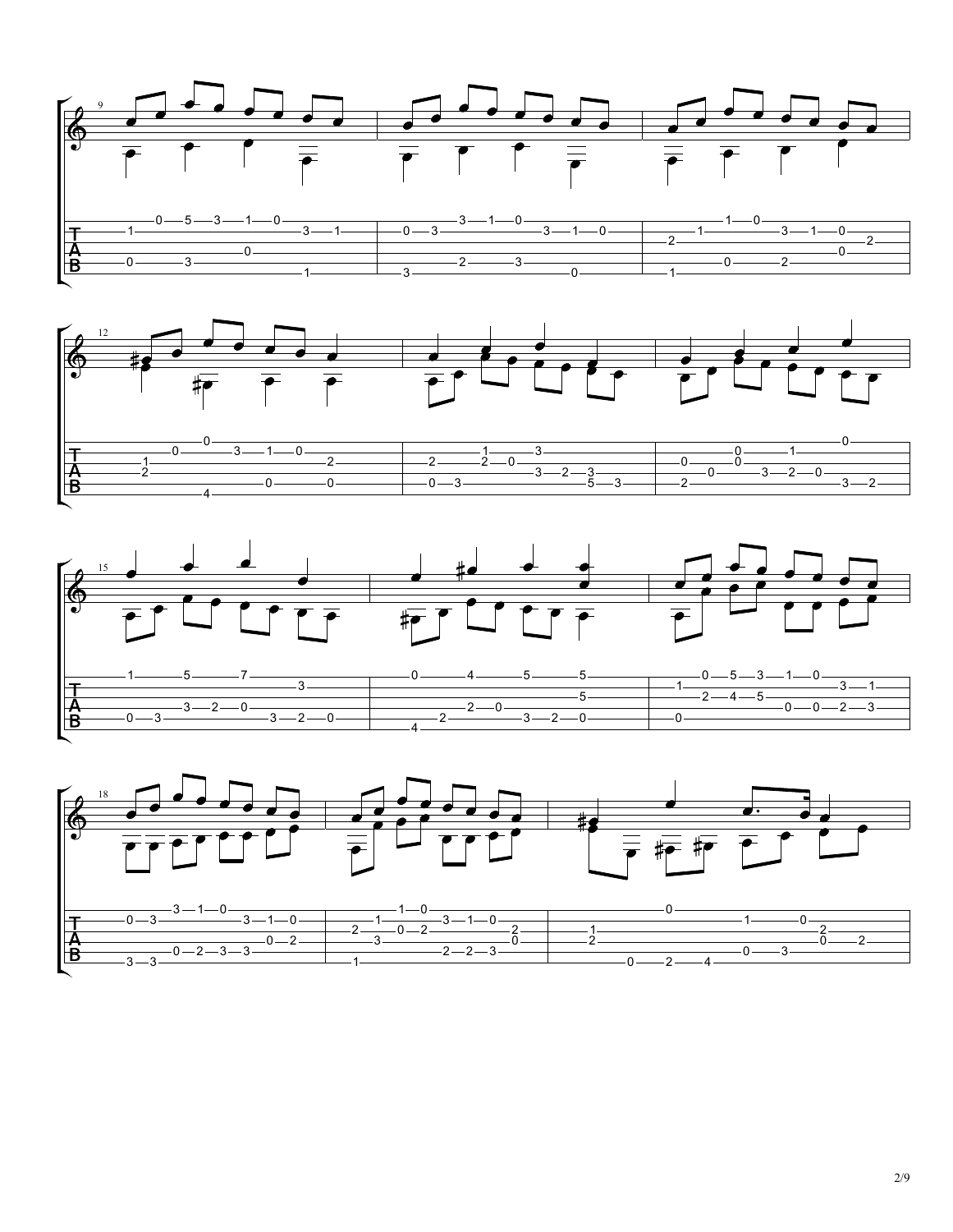





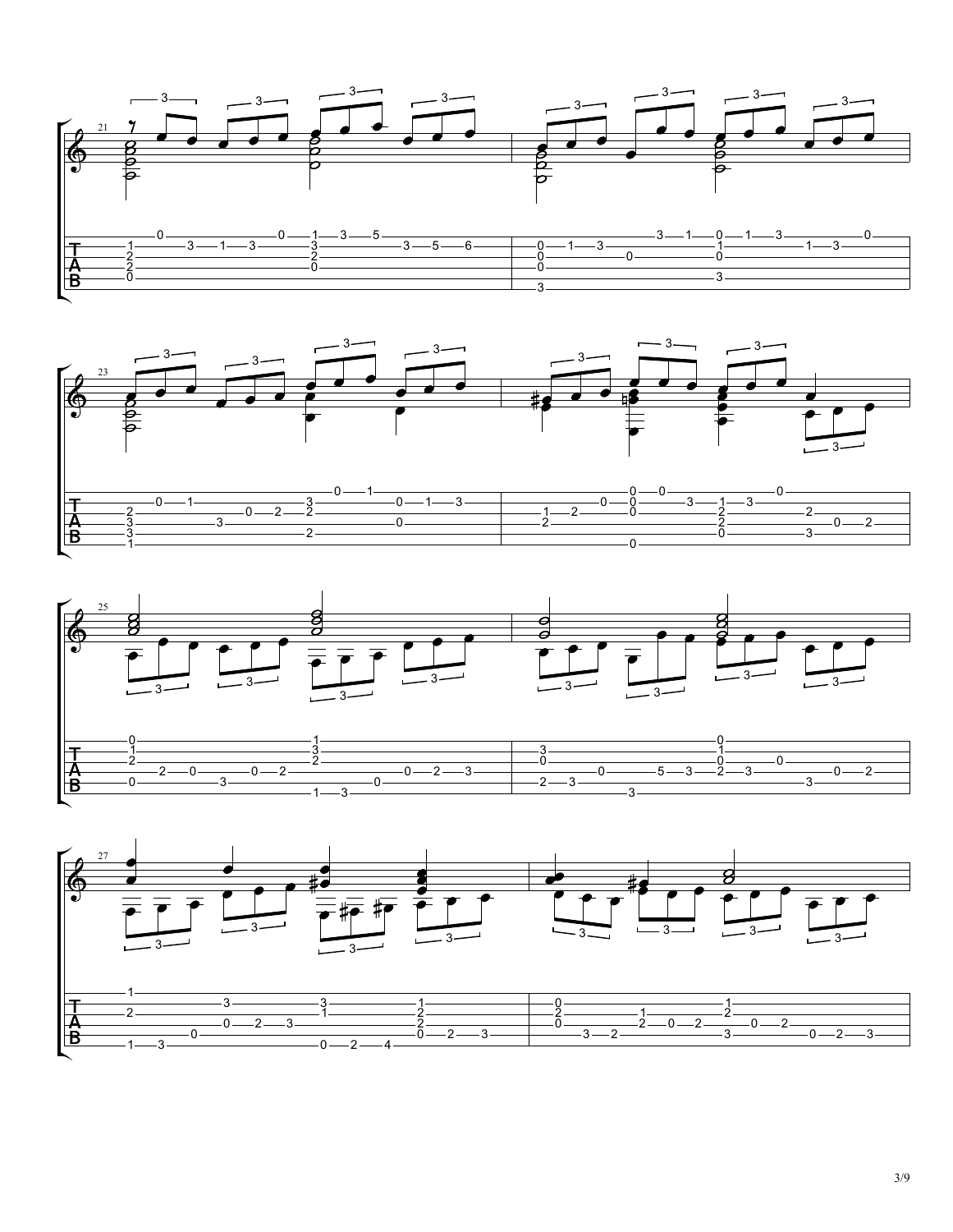





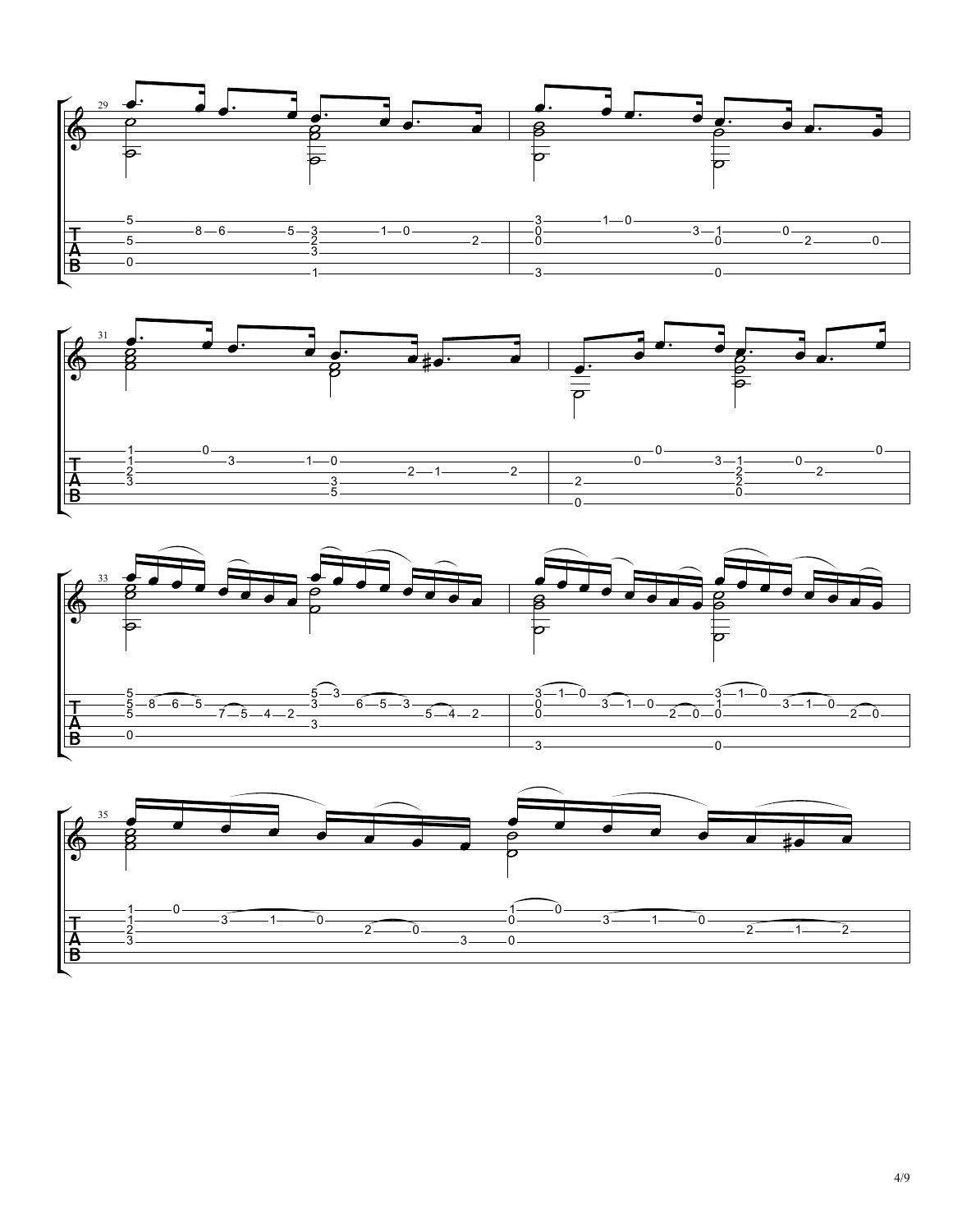





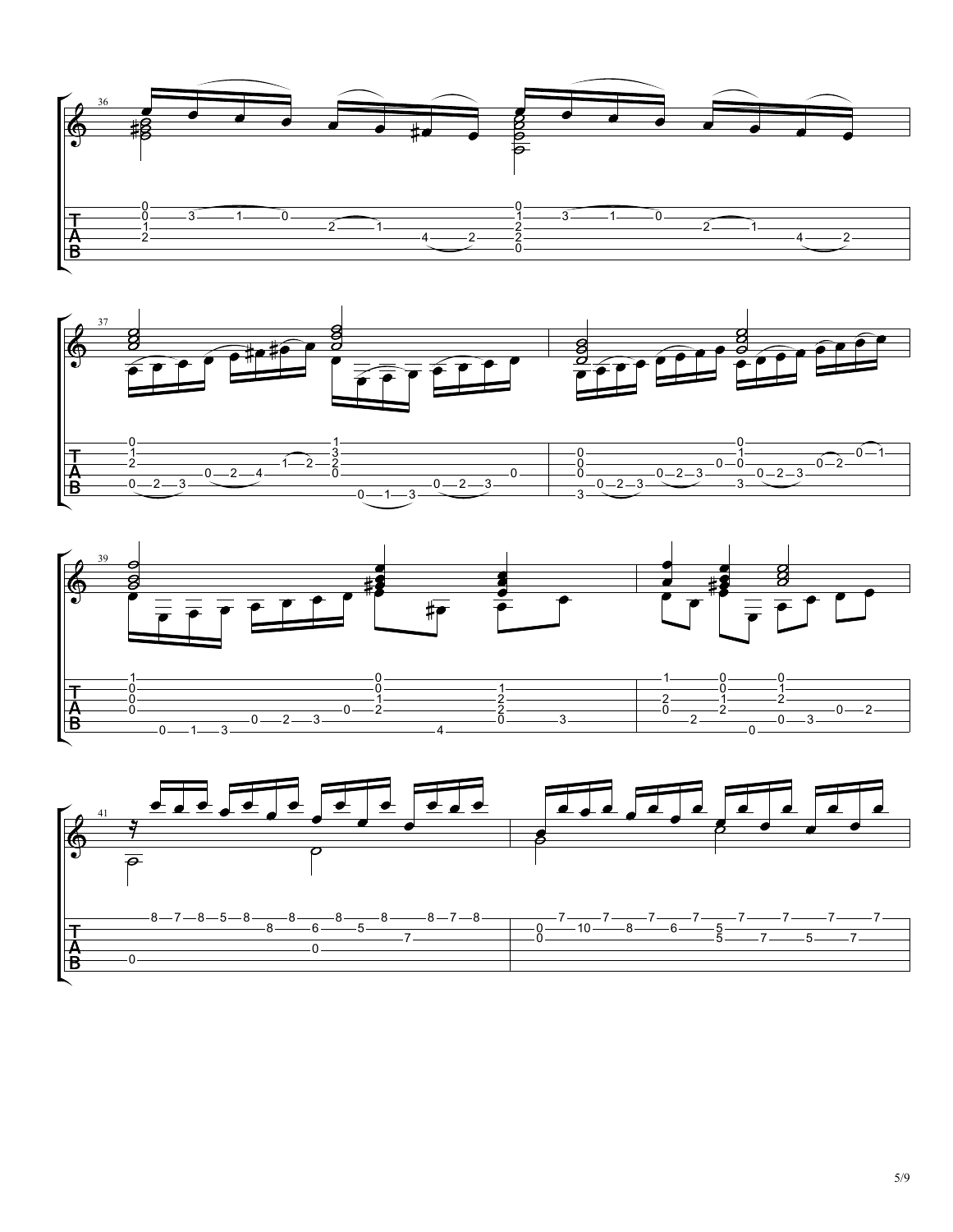





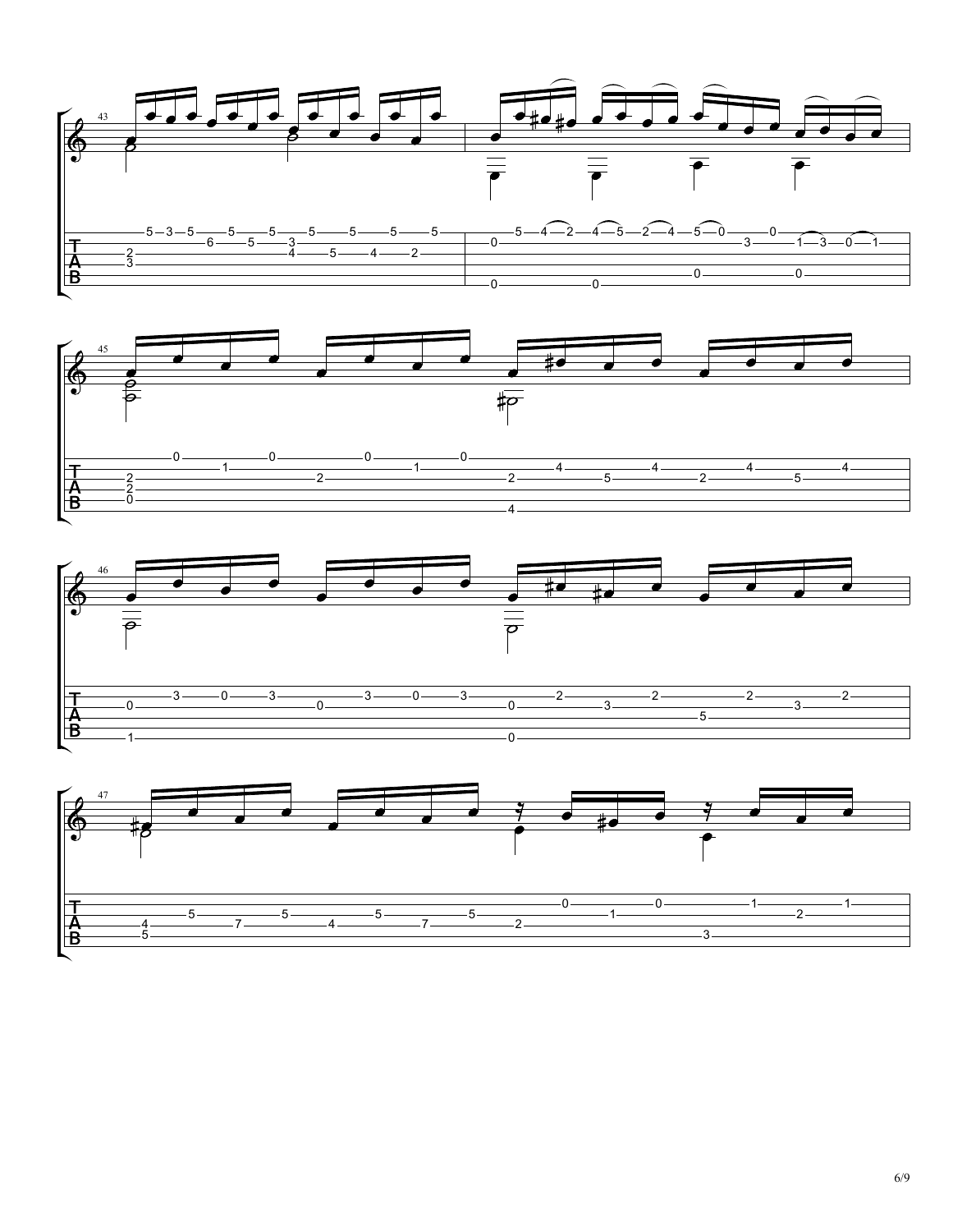





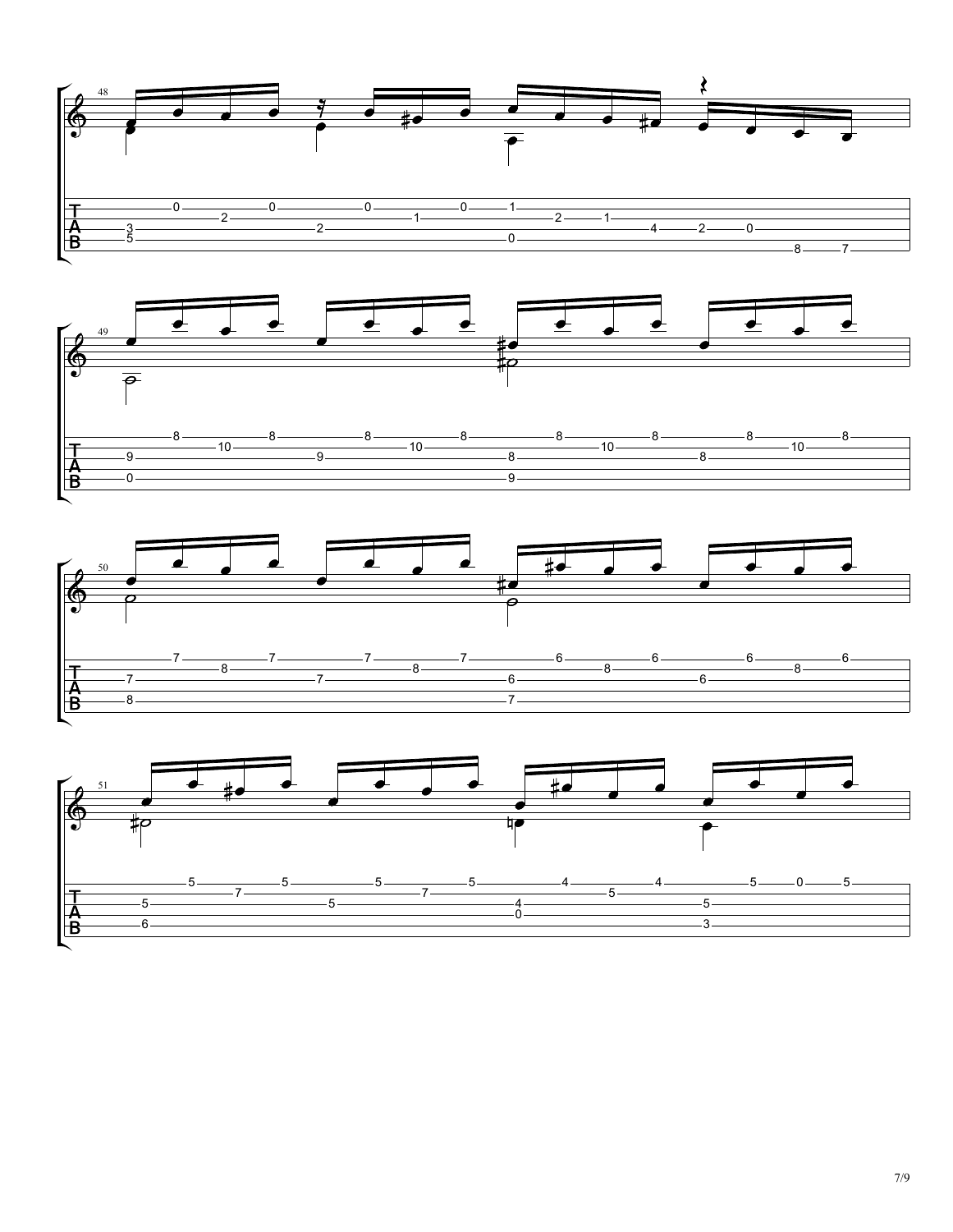





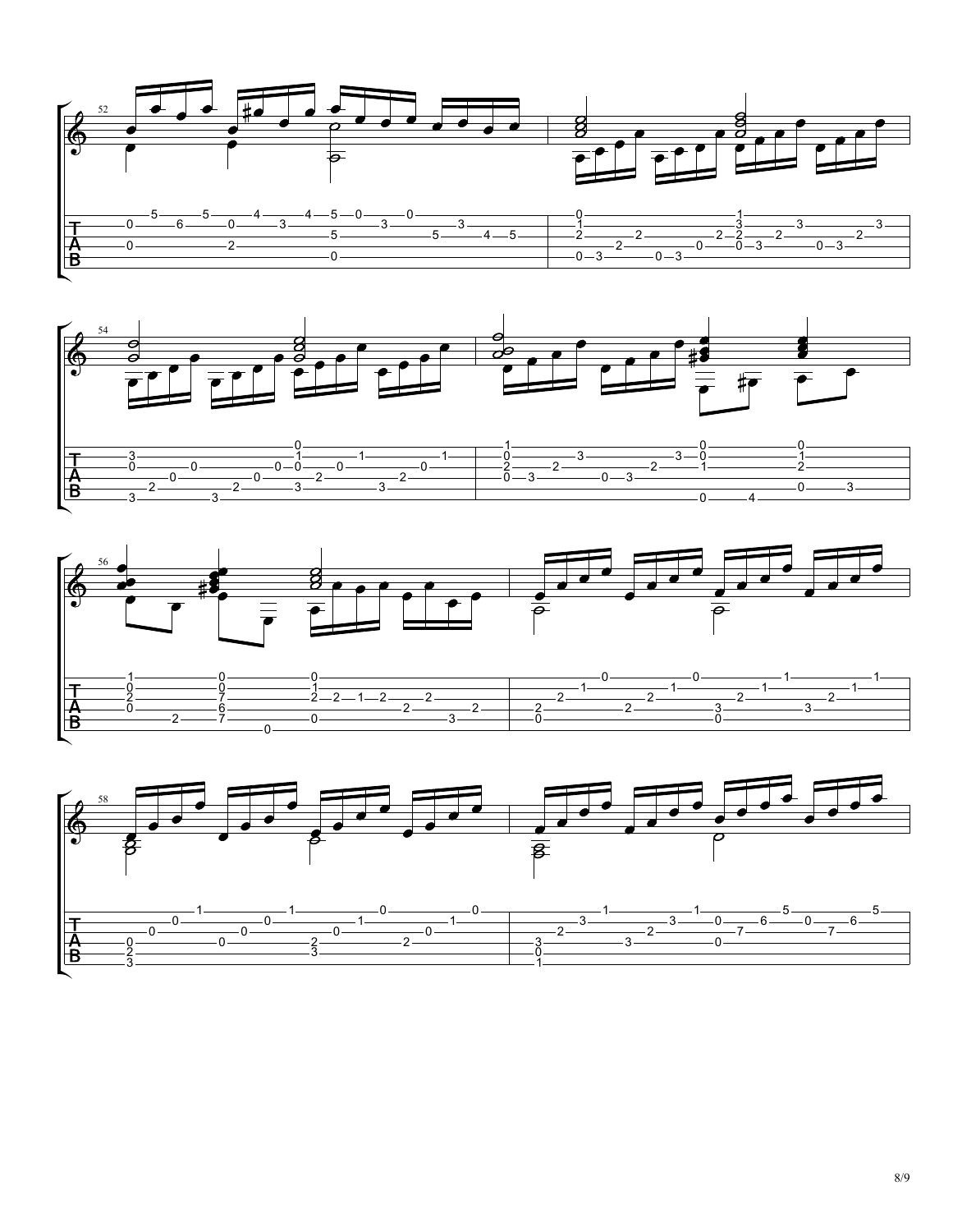